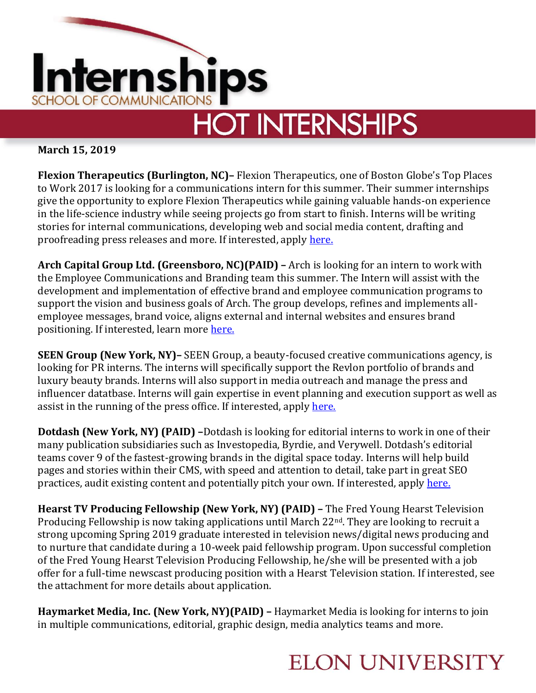

## **HOT INTERNSHIPS**

**March 15, 2019**

**Flexion Therapeutics (Burlington, NC)–** Flexion Therapeutics, one of Boston Globe's Top Places to Work 2017 is looking for a communications intern for this summer. Their summer internships give the opportunity to explore Flexion Therapeutics while gaining valuable hands-on experience in the life-science industry while seeing projects go from start to finish. Interns will be writing stories for internal communications, developing web and social media content, drafting and proofreading press releases and more. If interested, apply [here.](https://www.marketingjobforce.com/jobs/search?id=821860776&aff=16AE119E-722C-4962-8098-083243C4FF3F&rgv=3&iaj=n&ot=y)

**Arch Capital Group Ltd. (Greensboro, NC)(PAID) –** Arch is looking for an intern to work with the Employee Communications and Branding team this summer. The Intern will assist with the development and implementation of effective brand and employee communication programs to support the vision and business goals of Arch. The group develops, refines and implements allemployee messages, brand voice, aligns external and internal websites and ensures brand positioning. If interested, learn more here.

**SEEN Group (New York, NY)–** SEEN Group, a beauty-focused creative communications agency, is looking for PR interns. The interns will specifically support the Revlon portfolio of brands and luxury beauty brands. Interns will also support in media outreach and manage the press and influencer datatbase. Interns will gain expertise in event planning and execution support as well as assist in the running of the press office. If interested, apply [here.](https://www.barefootstudent.com/other/jobs/internships/beauty_pr_intern_1920382756)

**Dotdash (New York, NY) (PAID) –**Dotdash is looking for editorial interns to work in one of their many publication subsidiaries such as Investopedia, Byrdie, and Verywell. Dotdash's editorial teams cover 9 of the fastest-growing brands in the digital space today. Interns will help build pages and stories within their CMS, with speed and attention to detail, take part in great SEO practices, audit existing content and potentially pitch your own. If interested, apply [here.](http://jobs.jobvite.com/dotdash/job/oKLy9fwW)

**Hearst TV Producing Fellowship (New York, NY) (PAID) –** The Fred Young Hearst Television Producing Fellowship is now taking applications until March  $22<sup>nd</sup>$ . They are looking to recruit a strong upcoming Spring 2019 graduate interested in television news/digital news producing and to nurture that candidate during a 10-week paid fellowship program. Upon successful completion of the Fred Young Hearst Television Producing Fellowship, he/she will be presented with a job offer for a full-time newscast producing position with a Hearst Television station. If interested, see the attachment for more details about application.

**Haymarket Media, Inc. (New York, NY)(PAID) –** Haymarket Media is looking for interns to join in multiple communications, editorial, graphic design, media analytics teams and more.

## **ELON UNIVERSITY**